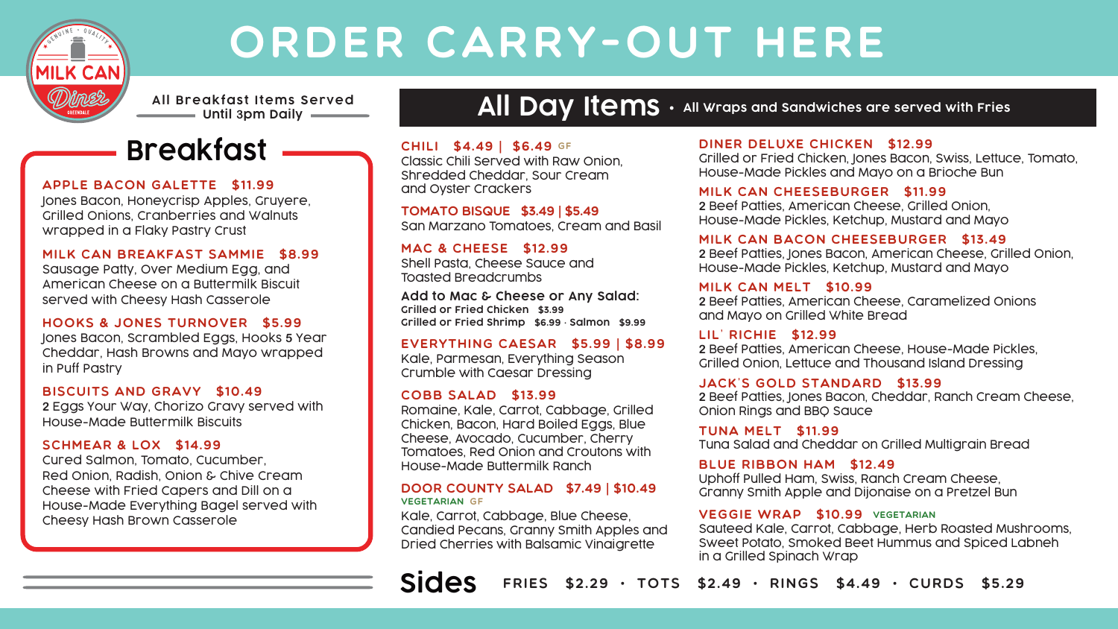

# Order Carry-Out Here

**All Breakfast Items Served Until 3pm Daily**



#### Apple Bacon Galette \$11.99 Jones Bacon, Honeycrisp Apples, Gruyere, Grilled Onions, Cranberries and Walnuts wrapped in a Flaky Pastry Crust

# Milk Can Breakfast Sammie \$8.99

Sausage Patty, Over Medium Egg, and American Cheese on a Buttermilk Biscuit served with Cheesy Hash Casserole

# Hooks & Jones Turnover \$5.99

Jones Bacon, Scrambled Eggs, Hooks **5** Year Cheddar, Hash Browns and Mayo wrapped in Puff Pastry

#### Biscuits and Gravy \$10.49 **2** Eggs Your Way, Chorizo Gravy served with House-Made Buttermilk Biscuits

# SCHMEAR & LOX \$14.99

Cured Salmon, Tomato, Cucumber, Red Onion, Radish, Onion & Chive Cream Cheese with Fried Capers and Dill on a House-Made Everything Bagel served with Cheesy Hash Brown Casserole

# All Day Items  $\cdot$  All Wraps and Sandwiches are served with Fries

# Chili \$4.49 | \$6.49 GF

Classic Chili Served with Raw Onion, Shredded Cheddar, Sour Cream and Oyster Crackers

Tomato Bisque \$3.49 | \$5.49 San Marzano Tomatoes, Cream and Basil

MAC & CHEESE \$12.99 Shell Pasta, Cheese Sauce and Toasted Breadcrumbs

**Add to Mac & Cheese or Any Salad: Grilled or Fried Chicken** \$3.99 **Grilled or Fried Shrimp** \$6.99 **• Salmon** \$9.99

# Everything Caesar \$5.99 | \$8.99

Kale, Parmesan, Everything Season Crumble with Caesar Dressing

# Cobb Salad \$13.99

Romaine, Kale, Carrot, Cabbage, Grilled Chicken, Bacon, Hard Boiled Eggs, Blue Cheese, Avocado, Cucumber, Cherry Tomatoes, Red Onion and Croutons with House-Made Buttermilk Ranch

#### Door County Salad \$7.49 | \$10.49 VEGETARIAN GF

Kale, Carrot, Cabbage, Blue Cheese, Candied Pecans, Granny Smith Apples and Dried Cherries with Balsamic Vinaigrette

### Diner Deluxe Chicken \$12.99

Grilled or Fried Chicken, Jones Bacon, Swiss, Lettuce, Tomato, House-Made Pickles and Mayo on a Brioche Bun

### Milk Can Cheeseburger \$11.99

**2** Beef Patties, American Cheese, Grilled Onion, House-Made Pickles, Ketchup, Mustard and Mayo

# Milk Can Bacon Cheeseburger \$13.49

**2** Beef Patties, Jones Bacon, American Cheese, Grilled Onion, House-Made Pickles, Ketchup, Mustard and Mayo

#### Milk Can Melt \$10.99

**2** Beef Patties, American Cheese, Caramelized Onions and Mayo on Grilled White Bread

# Lil' Richie \$12.99

**2** Beef Patties, American Cheese, House-Made Pickles, Grilled Onion, Lettuce and Thousand Island Dressing

### Jack's Gold Standard \$13.99

**2** Beef Patties, Jones Bacon, Cheddar, Ranch Cream Cheese, Onion Rings and BBQ Sauce

Tuna Melt \$11.99 Tuna Salad and Cheddar on Grilled Multigrain Bread

# Blue Ribbon Ham \$12.49

Uphoff Pulled Ham, Swiss, Ranch Cream Cheese, Granny Smith Apple and Dijonaise on a Pretzel Bun

# VEGGIE WRAP \$10.99 VEGETARIAN

Sauteed Kale, Carrot, Cabbage, Herb Roasted Mushrooms, Sweet Potato, Smoked Beet Hummus and Spiced Labneh in a Grilled Spinach Wrap

**Sides** Fries \$2.29 • Tots \$2.49 • Rings \$4.49 • Curds \$5.29